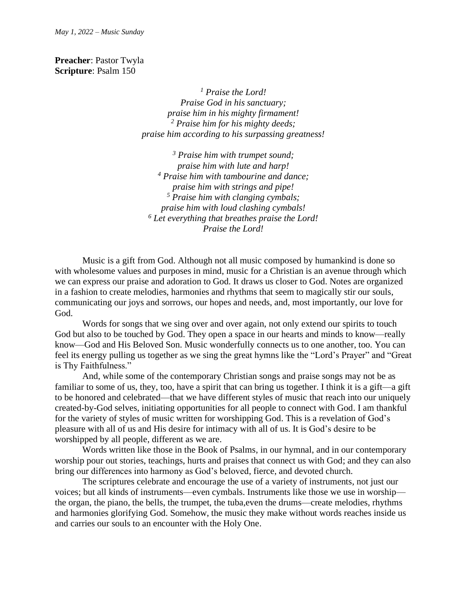**Preacher**: Pastor Twyla **Scripture**: Psalm 150

> *<sup>1</sup> Praise the Lord! Praise God in his sanctuary; praise him in his mighty firmament! <sup>2</sup> Praise him for his mighty deeds; praise him according to his surpassing greatness!*

*<sup>3</sup> Praise him with trumpet sound; praise him with lute and harp! <sup>4</sup> Praise him with tambourine and dance; praise him with strings and pipe! <sup>5</sup> Praise him with clanging cymbals; praise him with loud clashing cymbals! <sup>6</sup> Let everything that breathes praise the Lord! Praise the Lord!*

Music is a gift from God. Although not all music composed by humankind is done so with wholesome values and purposes in mind, music for a Christian is an avenue through which we can express our praise and adoration to God. It draws us closer to God. Notes are organized in a fashion to create melodies, harmonies and rhythms that seem to magically stir our souls, communicating our joys and sorrows, our hopes and needs, and, most importantly, our love for God.

Words for songs that we sing over and over again, not only extend our spirits to touch God but also to be touched by God. They open a space in our hearts and minds to know—really know—God and His Beloved Son. Music wonderfully connects us to one another, too. You can feel its energy pulling us together as we sing the great hymns like the "Lord's Prayer" and "Great is Thy Faithfulness."

And, while some of the contemporary Christian songs and praise songs may not be as familiar to some of us, they, too, have a spirit that can bring us together. I think it is a gift—a gift to be honored and celebrated—that we have different styles of music that reach into our uniquely created-by-God selves, initiating opportunities for all people to connect with God. I am thankful for the variety of styles of music written for worshipping God. This is a revelation of God's pleasure with all of us and His desire for intimacy with all of us. It is God's desire to be worshipped by all people, different as we are.

Words written like those in the Book of Psalms, in our hymnal, and in our contemporary worship pour out stories, teachings, hurts and praises that connect us with God; and they can also bring our differences into harmony as God's beloved, fierce, and devoted church.

The scriptures celebrate and encourage the use of a variety of instruments, not just our voices; but all kinds of instruments—even cymbals. Instruments like those we use in worship the organ, the piano, the bells, the trumpet, the tuba,even the drums—create melodies, rhythms and harmonies glorifying God. Somehow, the music they make without words reaches inside us and carries our souls to an encounter with the Holy One.